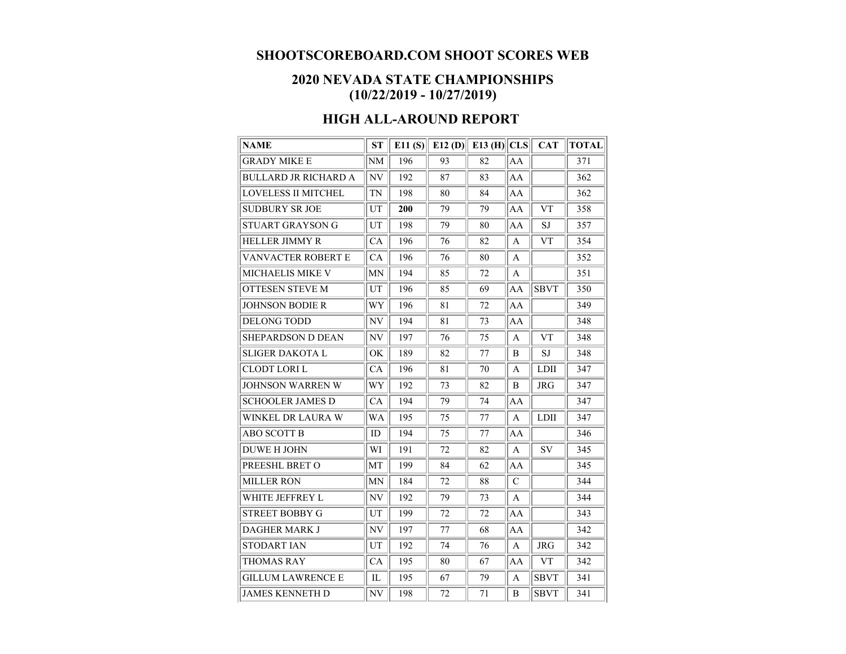## **SHOOTSCOREBOARD.COM SHOOT SCORES WEB**

## **2020 NEVADA STATE CHAMPIONSHIPS (10/22/2019 - 10/27/2019)**

## **HIGH ALL-AROUND REPORT**

| <b>NAME</b>                 | <b>ST</b> |     |    | E11 (S) E12 (D) E13 (H) CLS |               | <b>CAT</b>  | <b>TOTAL</b> |
|-----------------------------|-----------|-----|----|-----------------------------|---------------|-------------|--------------|
| <b>GRADY MIKE E</b>         | NM        | 196 | 93 | 82                          | AA            |             | 371          |
| <b>BULLARD JR RICHARD A</b> | NV        | 192 | 87 | 83                          | AA            |             | 362          |
| <b>LOVELESS II MITCHEL</b>  | <b>TN</b> | 198 | 80 | 84                          | AA            |             | 362          |
| <b>SUDBURY SR JOE</b>       | UT        | 200 | 79 | 79                          | AA            | <b>VT</b>   | 358          |
| STUART GRAYSON G            | UT        | 198 | 79 | 80                          | AA            | SJ          | 357          |
| <b>HELLER JIMMY R</b>       | CA        | 196 | 76 | 82                          | A             | <b>VT</b>   | 354          |
| VANVACTER ROBERT E          | CA        | 196 | 76 | 80                          | A             |             | 352          |
| <b>MICHAELIS MIKE V</b>     | MΝ        | 194 | 85 | 72                          | A             |             | 351          |
| <b>OTTESEN STEVE M</b>      | UT        | 196 | 85 | 69                          | AA            | <b>SBVT</b> | 350          |
| <b>JOHNSON BODIE R</b>      | WY        | 196 | 81 | 72                          | AA            |             | 349          |
| <b>DELONG TODD</b>          | NV        | 194 | 81 | 73                          | AA            |             | 348          |
| <b>SHEPARDSON D DEAN</b>    | NV        | 197 | 76 | 75                          | A             | <b>VT</b>   | 348          |
| <b>SLIGER DAKOTA L</b>      | OK        | 189 | 82 | 77                          | B             | <b>SJ</b>   | 348          |
| <b>CLODT LORI L</b>         | CA        | 196 | 81 | 70                          | A             | LDII        | 347          |
| <b>JOHNSON WARREN W</b>     | WY        | 192 | 73 | 82                          | B             | <b>JRG</b>  | 347          |
| <b>SCHOOLER JAMES D</b>     | CA        | 194 | 79 | 74                          | AA            |             | 347          |
| WINKEL DR LAURA W           | WA        | 195 | 75 | 77                          | A             | <b>LDII</b> | 347          |
| <b>ABO SCOTT B</b>          | ID        | 194 | 75 | 77                          | AA            |             | 346          |
| <b>DUWE H JOHN</b>          | WI        | 191 | 72 | 82                          | A             | <b>SV</b>   | 345          |
| PREESHL BRET O              | MT        | 199 | 84 | 62                          | AA            |             | 345          |
| <b>MILLER RON</b>           | <b>MN</b> | 184 | 72 | 88                          | $\mathcal{C}$ |             | 344          |
| WHITE JEFFREY L             | NV        | 192 | 79 | 73                          | A             |             | 344          |
| <b>STREET BOBBY G</b>       | UT        | 199 | 72 | 72                          | AA            |             | 343          |
| <b>DAGHER MARK J</b>        | NV        | 197 | 77 | 68                          | AA            |             | 342          |
| <b>STODART IAN</b>          | UT        | 192 | 74 | 76                          | A             | <b>JRG</b>  | 342          |
| <b>THOMAS RAY</b>           | CA        | 195 | 80 | 67                          | AA            | <b>VT</b>   | 342          |
| <b>GILLUM LAWRENCE E</b>    | IL        | 195 | 67 | 79                          | A             | <b>SBVT</b> | 341          |
| <b>JAMES KENNETH D</b>      | NV        | 198 | 72 | 71                          | B             | <b>SBVT</b> | 341          |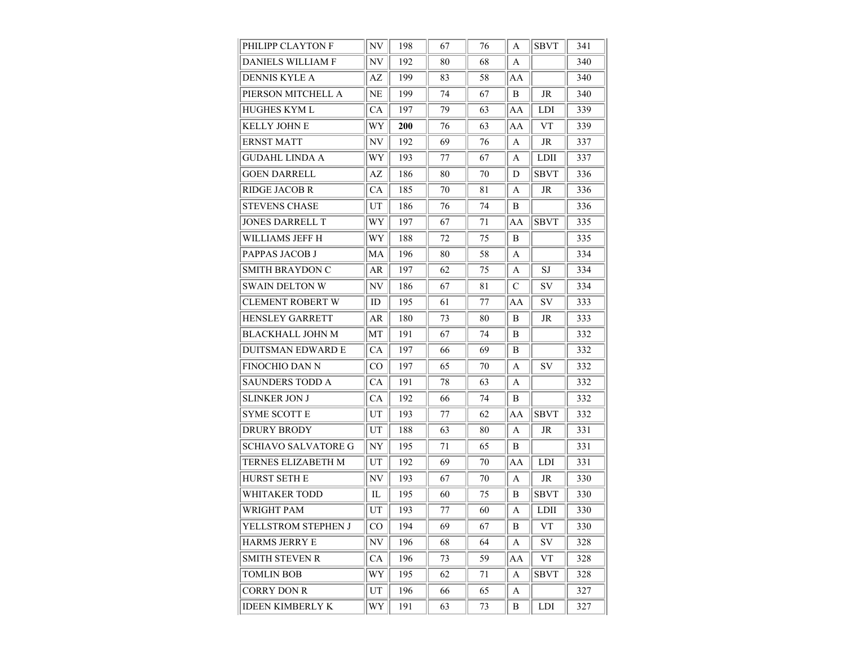| PHILIPP CLAYTON F          | NV             | 198 | 67 | 76 | A  | <b>SBVT</b> | 341 |
|----------------------------|----------------|-----|----|----|----|-------------|-----|
| <b>DANIELS WILLIAM F</b>   | NV             | 192 | 80 | 68 | A  |             | 340 |
| <b>DENNIS KYLE A</b>       | AZ             | 199 | 83 | 58 | AA |             | 340 |
| PIERSON MITCHELL A         | NE             | 199 | 74 | 67 | B  | <b>JR</b>   | 340 |
| HUGHES KYM L               | СA             | 197 | 79 | 63 | AA | <b>LDI</b>  | 339 |
| <b>KELLY JOHN E</b>        | WY             | 200 | 76 | 63 | AA | <b>VT</b>   | 339 |
| <b>ERNST MATT</b>          | NV             | 192 | 69 | 76 | A  | JR          | 337 |
| <b>GUDAHL LINDA A</b>      | WY             | 193 | 77 | 67 | A  | LDII        | 337 |
| <b>GOEN DARRELL</b>        | AZ             | 186 | 80 | 70 | D  | <b>SBVT</b> | 336 |
| <b>RIDGE JACOB R</b>       | <b>CA</b>      | 185 | 70 | 81 | A  | <b>JR</b>   | 336 |
| <b>STEVENS CHASE</b>       | UT             | 186 | 76 | 74 | B  |             | 336 |
| <b>JONES DARRELL T</b>     | WY             | 197 | 67 | 71 | AA | <b>SBVT</b> | 335 |
| WILLIAMS JEFF H            | WY             | 188 | 72 | 75 | B  |             | 335 |
| PAPPAS JACOB J             | MA             | 196 | 80 | 58 | A  |             | 334 |
| <b>SMITH BRAYDON C</b>     | AR             | 197 | 62 | 75 | A  | SJ          | 334 |
| <b>SWAIN DELTON W</b>      | NV             | 186 | 67 | 81 | C  | SV          | 334 |
| CLEMENT ROBERT W           | ID             | 195 | 61 | 77 | AA | SV          | 333 |
| <b>HENSLEY GARRETT</b>     | AR             | 180 | 73 | 80 | B  | JR          | 333 |
| <b>BLACKHALL JOHN M</b>    | MТ             | 191 | 67 | 74 | B  |             | 332 |
| <b>DUITSMAN EDWARD E</b>   | CA             | 197 | 66 | 69 | B  |             | 332 |
| FINOCHIO DAN N             | CO             | 197 | 65 | 70 | A  | SV          | 332 |
| <b>SAUNDERS TODD A</b>     | CA             | 191 | 78 | 63 | A  |             | 332 |
| <b>SLINKER JON J</b>       | СA             | 192 | 66 | 74 | B  |             | 332 |
| <b>SYME SCOTT E</b>        | UT             | 193 | 77 | 62 | AA | <b>SBVT</b> | 332 |
| <b>DRURY BRODY</b>         | UT             | 188 | 63 | 80 | A  | JR          | 331 |
| <b>SCHIAVO SALVATORE G</b> | NY             | 195 | 71 | 65 | B  |             | 331 |
| TERNES ELIZABETH M         | UT             | 192 | 69 | 70 | AA | LDI         | 331 |
| HURST SETH E               | NV             | 193 | 67 | 70 | A  | <b>JR</b>   | 330 |
| WHITAKER TODD              | IL             | 195 | 60 | 75 | B  | <b>SBVT</b> | 330 |
| <b>WRIGHT PAM</b>          | UT             | 193 | 77 | 60 | A  | <b>LDII</b> | 330 |
| YELLSTROM STEPHEN J        | $\rm CO$       | 194 | 69 | 67 | B  | <b>VT</b>   | 330 |
| HARMS JERRY E              | N <sub>V</sub> | 196 | 68 | 64 | A  | SV          | 328 |
| <b>SMITH STEVEN R</b>      | СA             | 196 | 73 | 59 | AA | VT          | 328 |
| <b>TOMLIN BOB</b>          | WY             | 195 | 62 | 71 | A  | <b>SBVT</b> | 328 |
| <b>CORRY DON R</b>         | UT             | 196 | 66 | 65 | A  |             | 327 |
| <b>IDEEN KIMBERLY K</b>    | WY             | 191 | 63 | 73 | B  | ${\rm LDI}$ | 327 |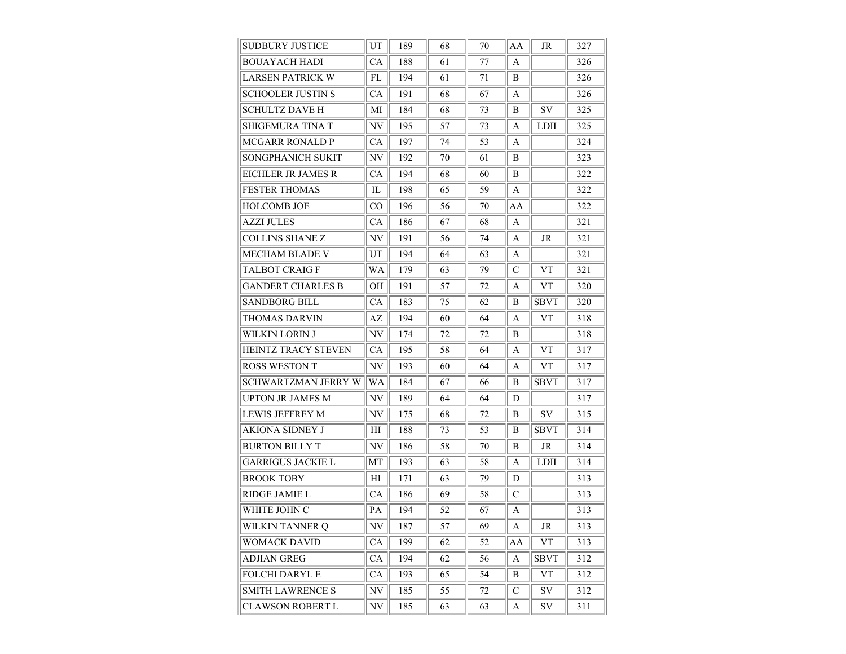| SUDBURY JUSTICE          | UT        | 189 | 68 | 70 | AA | JR          | 327 |
|--------------------------|-----------|-----|----|----|----|-------------|-----|
| <b>BOUAYACH HADI</b>     | <b>CA</b> | 188 | 61 | 77 | A  |             | 326 |
| <b>LARSEN PATRICK W</b>  | FL        | 194 | 61 | 71 | B  |             | 326 |
| <b>SCHOOLER JUSTIN S</b> | CA        | 191 | 68 | 67 | A  |             | 326 |
| SCHULTZ DAVE H           | МI        | 184 | 68 | 73 | B  | <b>SV</b>   | 325 |
| SHIGEMURA TINA T         | NV        | 195 | 57 | 73 | A  | <b>LDII</b> | 325 |
| <b>MCGARR RONALD P</b>   | СA        | 197 | 74 | 53 | A  |             | 324 |
| SONGPHANICH SUKIT        | NV        | 192 | 70 | 61 | B  |             | 323 |
| EICHLER JR JAMES R       | СA        | 194 | 68 | 60 | B  |             | 322 |
| <b>FESTER THOMAS</b>     | IL        | 198 | 65 | 59 | A  |             | 322 |
| HOLCOMB JOE              | CO        | 196 | 56 | 70 | AA |             | 322 |
| <b>AZZI JULES</b>        | CA        | 186 | 67 | 68 | A  |             | 321 |
| <b>COLLINS SHANE Z</b>   | NV        | 191 | 56 | 74 | A  | JR          | 321 |
| MECHAM BLADE V           | UT        | 194 | 64 | 63 | A  |             | 321 |
| TALBOT CRAIG F           | WA        | 179 | 63 | 79 | C  | <b>VT</b>   | 321 |
| <b>GANDERT CHARLES B</b> | OН        | 191 | 57 | 72 | A  | <b>VT</b>   | 320 |
| SANDBORG BILL            | СA        | 183 | 75 | 62 | B  | <b>SBVT</b> | 320 |
| THOMAS DARVIN            | AZ        | 194 | 60 | 64 | A  | <b>VT</b>   | 318 |
| WILKIN LORIN J           | NV        | 174 | 72 | 72 | B  |             | 318 |
| HEINTZ TRACY STEVEN      | СA        | 195 | 58 | 64 | A  | <b>VT</b>   | 317 |
| <b>ROSS WESTON T</b>     | NV        | 193 | 60 | 64 | A  | <b>VT</b>   | 317 |
| SCHWARTZMAN JERRY W      | WA        | 184 | 67 | 66 | B  | <b>SBVT</b> | 317 |
| <b>UPTON JR JAMES M</b>  | NV        | 189 | 64 | 64 | D  |             | 317 |
| LEWIS JEFFREY M          | NV        | 175 | 68 | 72 | B  | SV          | 315 |
| AKIONA SIDNEY J          | ΗΙ        | 188 | 73 | 53 | B  | <b>SBVT</b> | 314 |
| <b>BURTON BILLY T</b>    | NV        | 186 | 58 | 70 | B  | <b>JR</b>   | 314 |
| GARRIGUS JACKIE L        | MТ        | 193 | 63 | 58 | A  | <b>LDII</b> | 314 |
| <b>BROOK TOBY</b>        | ΗΙ        | 171 | 63 | 79 | D  |             | 313 |
| RIDGE JAMIE L            | СA        | 186 | 69 | 58 | C  |             | 313 |
| WHITE JOHN C             | PA        | 194 | 52 | 67 | A  |             | 313 |
| WILKIN TANNER Q          | NV        | 187 | 57 | 69 | A  | JR          | 313 |
| WOMACK DAVID             | CA        | 199 | 62 | 52 | AA | ${\rm VT}$  | 313 |
| ADJIAN GREG              | CA        | 194 | 62 | 56 | A  | <b>SBVT</b> | 312 |
| <b>FOLCHI DARYL E</b>    | CA        | 193 | 65 | 54 | B  | ${\rm VT}$  | 312 |
| <b>SMITH LAWRENCE S</b>  | NV        | 185 | 55 | 72 | C  | SV          | 312 |
| <b>CLAWSON ROBERT L</b>  | NV        | 185 | 63 | 63 | A  | ${\rm SV}$  | 311 |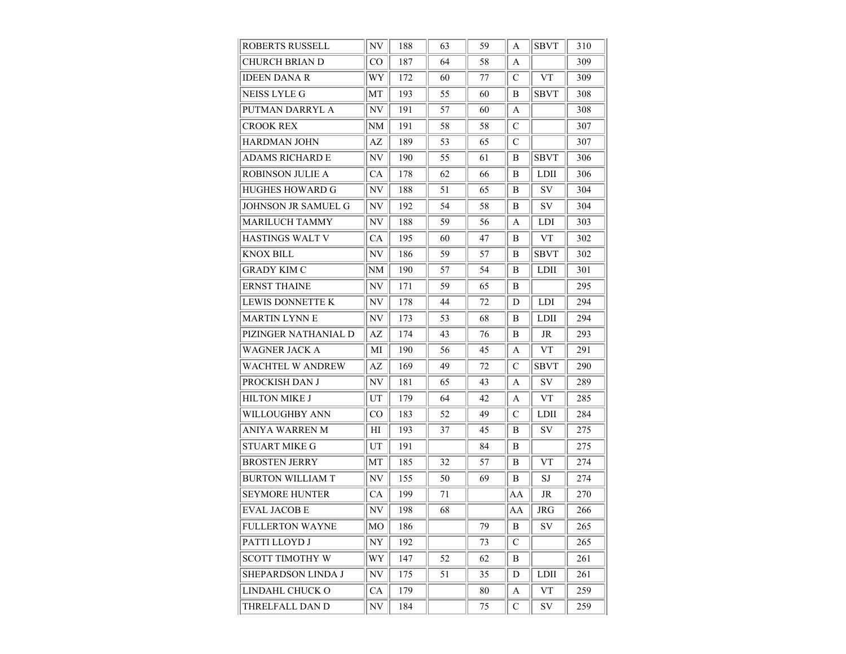| <b>ROBERTS RUSSELL</b>  | NV                       | 188 | 63 | 59 | A            | <b>SBVT</b> | 310 |
|-------------------------|--------------------------|-----|----|----|--------------|-------------|-----|
| <b>CHURCH BRIAN D</b>   | CO                       | 187 | 64 | 58 | A            |             | 309 |
| <b>IDEEN DANA R</b>     | WY                       | 172 | 60 | 77 | C            | <b>VT</b>   | 309 |
| NEISS LYLE G            | МT                       | 193 | 55 | 60 | В            | <b>SBVT</b> | 308 |
| PUTMAN DARRYL A         | NV                       | 191 | 57 | 60 | A            |             | 308 |
| <b>CROOK REX</b>        | NΜ                       | 191 | 58 | 58 | C            |             | 307 |
| HARDMAN JOHN            | AZ                       | 189 | 53 | 65 | C            |             | 307 |
| ADAMS RICHARD E         | NV                       | 190 | 55 | 61 | B            | <b>SBVT</b> | 306 |
| <b>ROBINSON JULIE A</b> | СA                       | 178 | 62 | 66 | B            | <b>LDII</b> | 306 |
| <b>HUGHES HOWARD G</b>  | NV                       | 188 | 51 | 65 | B            | SV          | 304 |
| JOHNSON JR SAMUEL G     | NV                       | 192 | 54 | 58 | B            | SV          | 304 |
| MARILUCH TAMMY          | NV                       | 188 | 59 | 56 | A            | <b>LDI</b>  | 303 |
| HASTINGS WALT V         | СA                       | 195 | 60 | 47 | B            | <b>VT</b>   | 302 |
| <b>KNOX BILL</b>        | NV                       | 186 | 59 | 57 | B            | <b>SBVT</b> | 302 |
| GRADY KIM C             | <b>NM</b>                | 190 | 57 | 54 | B            | <b>LDII</b> | 301 |
| <b>ERNST THAINE</b>     | NV                       | 171 | 59 | 65 | B            |             | 295 |
| <b>LEWIS DONNETTE K</b> | NV                       | 178 | 44 | 72 | D            | <b>LDI</b>  | 294 |
| <b>MARTIN LYNNE</b>     | NV                       | 173 | 53 | 68 | B            | LDII        | 294 |
| PIZINGER NATHANIAL D    | AZ                       | 174 | 43 | 76 | B            | $\rm JR$    | 293 |
| <b>WAGNER JACK A</b>    | MI                       | 190 | 56 | 45 | A            | <b>VT</b>   | 291 |
| WACHTEL W ANDREW        | AZ                       | 169 | 49 | 72 | C            | SBVT        | 290 |
| PROCKISH DAN J          | NV                       | 181 | 65 | 43 | A            | SV          | 289 |
| <b>HILTON MIKE J</b>    | UT                       | 179 | 64 | 42 | A            | <b>VT</b>   | 285 |
| WILLOUGHBY ANN          | CO                       | 183 | 52 | 49 | C            | <b>LDII</b> | 284 |
| ANIYA WARREN M          | ΗΙ                       | 193 | 37 | 45 | B            | SV          | 275 |
| <b>STUART MIKE G</b>    | UT                       | 191 |    | 84 | B            |             | 275 |
| <b>BROSTEN JERRY</b>    | MТ                       | 185 | 32 | 57 | B            | VT          | 274 |
| <b>BURTON WILLIAM T</b> | NV                       | 155 | 50 | 69 | B            | SJ          | 274 |
| <b>SEYMORE HUNTER</b>   | СA                       | 199 | 71 |    | AA           | JR          | 270 |
| <b>EVAL JACOB E</b>     | N <sub>V</sub>           | 198 | 68 |    | AA           | <b>JRG</b>  | 266 |
| <b>FULLERTON WAYNE</b>  | MO.                      | 186 |    | 79 | B            | SV          | 265 |
| PATTI LLOYD J           | NY                       | 192 |    | 73 | $\mathsf{C}$ |             | 265 |
| <b>SCOTT TIMOTHY W</b>  | WY                       | 147 | 52 | 62 | B            |             | 261 |
| SHEPARDSON LINDA J      | NV                       | 175 | 51 | 35 | D            | LDII        | 261 |
| LINDAHL CHUCK O         | CA                       | 179 |    | 80 | A            | <b>VT</b>   | 259 |
| THRELFALL DAN D         | $\ensuremath{\text{NV}}$ | 184 |    | 75 | C            | SV          | 259 |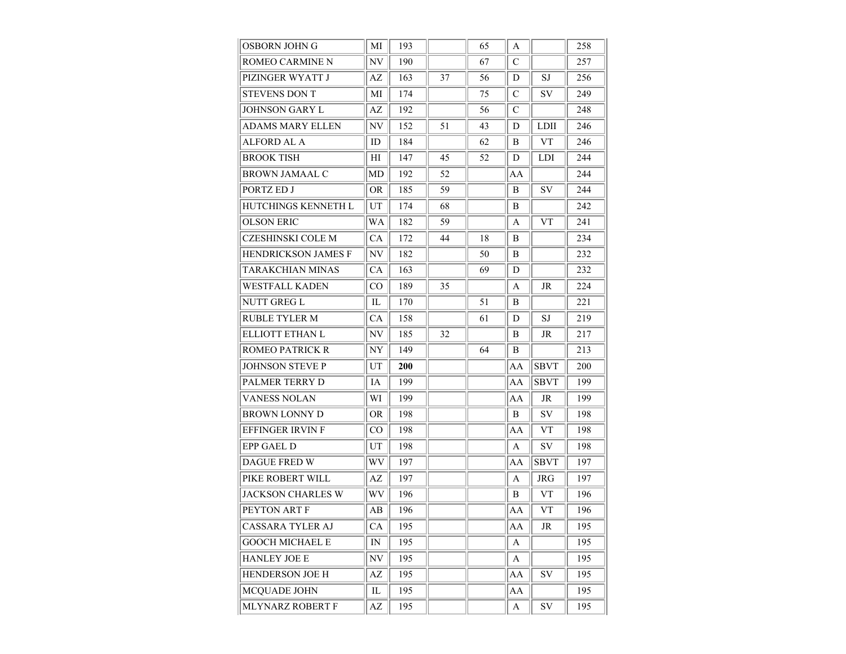| OSBORN JOHN G           | MI                     | 193 |    | 65 | A  |             | 258 |
|-------------------------|------------------------|-----|----|----|----|-------------|-----|
| ROMEO CARMINE N         | NV                     | 190 |    | 67 | C  |             | 257 |
| PIZINGER WYATT J        | AZ                     | 163 | 37 | 56 | D  | SJ          | 256 |
| STEVENS DON T           | МI                     | 174 |    | 75 | C  | SV          | 249 |
| JOHNSON GARY L          | AZ                     | 192 |    | 56 | C  |             | 248 |
| <b>ADAMS MARY ELLEN</b> | NV                     | 152 | 51 | 43 | D  | <b>LDII</b> | 246 |
| ALFORD AL A             | ID                     | 184 |    | 62 | B  | <b>VT</b>   | 246 |
| <b>BROOK TISH</b>       | ΗΙ                     | 147 | 45 | 52 | D  | <b>LDI</b>  | 244 |
| <b>BROWN JAMAAL C</b>   | MD                     | 192 | 52 |    | AA |             | 244 |
| PORTZ ED J              | OR                     | 185 | 59 |    | B  | <b>SV</b>   | 244 |
| HUTCHINGS KENNETH L     | UT                     | 174 | 68 |    | B  |             | 242 |
| <b>OLSON ERIC</b>       | WA                     | 182 | 59 |    | A  | <b>VT</b>   | 241 |
| CZESHINSKI COLE M       | СA                     | 172 | 44 | 18 | B  |             | 234 |
| HENDRICKSON JAMES F     | NV                     | 182 |    | 50 | B  |             | 232 |
| TARAKCHIAN MINAS        | СA                     | 163 |    | 69 | D  |             | 232 |
| WESTFALL KADEN          | CO                     | 189 | 35 |    | A  | JR          | 224 |
| NUTT GREG L             | IL                     | 170 |    | 51 | B  |             | 221 |
| <b>RUBLE TYLER M</b>    | CA                     | 158 |    | 61 | D  | SJ          | 219 |
| ELLIOTT ETHAN L         | NV                     | 185 | 32 |    | B  | JR          | 217 |
| ROMEO PATRICK R         | NY                     | 149 |    | 64 | B  |             | 213 |
| JOHNSON STEVE P         | UT                     | 200 |    |    | AA | SBVT        | 200 |
| PALMER TERRY D          | IA                     | 199 |    |    | AA | <b>SBVT</b> | 199 |
| <b>VANESS NOLAN</b>     | WI                     | 199 |    |    | AA | JR          | 199 |
| BROWN LONNY D           | OR                     | 198 |    |    | B  | SV          | 198 |
| EFFINGER IRVIN F        | CO                     | 198 |    |    | AA | <b>VT</b>   | 198 |
| EPP GAEL D              | UT                     | 198 |    |    | A  | SV          | 198 |
| DAGUE FRED W            | WV                     | 197 |    |    | AA | SBVT        | 197 |
| PIKE ROBERT WILL        | AZ                     | 197 |    |    | A  | <b>JRG</b>  | 197 |
| JACKSON CHARLES W       | WV                     | 196 |    |    | B  | <b>VT</b>   | 196 |
| PEYTON ART F            | AВ                     | 196 |    |    | AA | <b>VT</b>   | 196 |
| CASSARA TYLER AJ        | <b>CA</b>              | 195 |    |    | AA | JR          | 195 |
| <b>GOOCH MICHAEL E</b>  | IN                     | 195 |    |    | A  |             | 195 |
| <b>HANLEY JOE E</b>     | NV                     | 195 |    |    | A  |             | 195 |
| HENDERSON JOE H         | AZ                     | 195 |    |    | AA | SV          | 195 |
| MCQUADE JOHN            | IL                     | 195 |    |    | AA |             | 195 |
| MLYNARZ ROBERT F        | $\mathbf{A}\mathbf{Z}$ | 195 |    |    | A  | ${\rm SV}$  | 195 |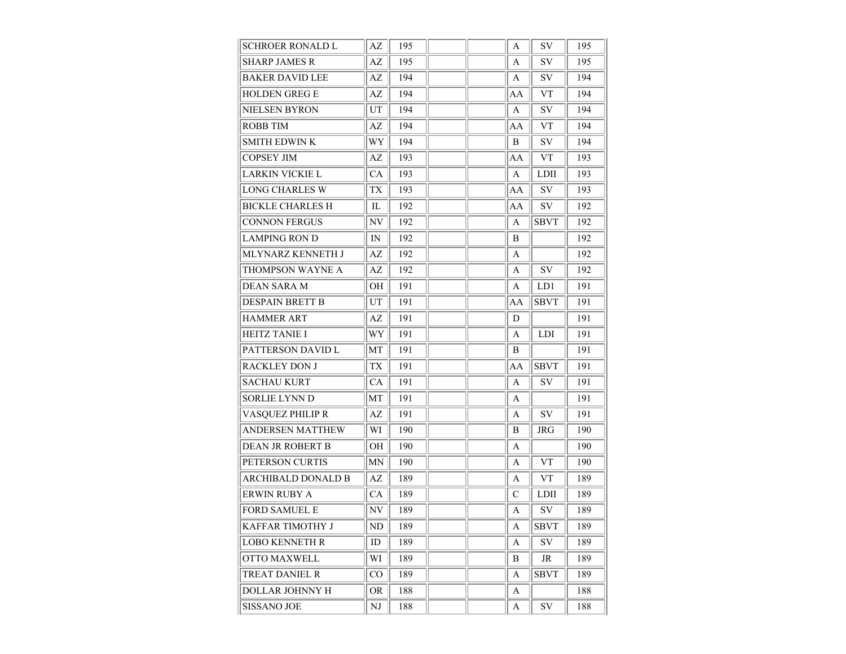| SCHROER RONALD L        | AZ        | 195 |  | A             | SV          | 195 |
|-------------------------|-----------|-----|--|---------------|-------------|-----|
| <b>SHARP JAMES R</b>    | AZ        | 195 |  | A             | SV          | 195 |
| <b>BAKER DAVID LEE</b>  | AZ        | 194 |  | A             | SV          | 194 |
| <b>HOLDEN GREG E</b>    | AZ        | 194 |  | AA            | <b>VT</b>   | 194 |
| NIELSEN BYRON           | UT        | 194 |  | A             | SV          | 194 |
| <b>ROBB TIM</b>         | AZ        | 194 |  | AA            | <b>VT</b>   | 194 |
| <b>SMITH EDWIN K</b>    | WY        | 194 |  | B             | SV          | 194 |
| <b>COPSEY JIM</b>       | AZ        | 193 |  | AA            | <b>VT</b>   | 193 |
| LARKIN VICKIE L         | СA        | 193 |  | A             | <b>LDII</b> | 193 |
| <b>LONG CHARLES W</b>   | TX        | 193 |  | AA            | SV          | 193 |
| <b>BICKLE CHARLES H</b> | IL        | 192 |  | AA            | SV          | 192 |
| <b>CONNON FERGUS</b>    | NV        | 192 |  | A             | <b>SBVT</b> | 192 |
| <b>LAMPING RON D</b>    | IN        | 192 |  | B             |             | 192 |
| MLYNARZ KENNETH J       | AZ        | 192 |  | A             |             | 192 |
| THOMPSON WAYNE A        | AZ        | 192 |  | A             | SV          | 192 |
| <b>DEAN SARA M</b>      | OH        | 191 |  | A             | LD1         | 191 |
| DESPAIN BRETT B         | UT        | 191 |  | AA            | <b>SBVT</b> | 191 |
| <b>HAMMER ART</b>       | AZ        | 191 |  | D             |             | 191 |
| <b>HEITZ TANIE I</b>    | WY        | 191 |  | A             | <b>LDI</b>  | 191 |
| PATTERSON DAVID L       | MT        | 191 |  | B             |             | 191 |
| <b>RACKLEY DON J</b>    | TX        | 191 |  | AA            | <b>SBVT</b> | 191 |
| <b>SACHAU KURT</b>      | CA        | 191 |  | A             | SV          | 191 |
| <b>SORLIE LYNN D</b>    | МT        | 191 |  | A             |             | 191 |
| VASOUEZ PHILIP R        | AZ        | 191 |  | A             | SV          | 191 |
| ANDERSEN MATTHEW        | WI        | 190 |  | B             | JRG         | 190 |
| DEAN JR ROBERT B        | OH        | 190 |  | A             |             | 190 |
| PETERSON CURTIS         | MΝ        | 190 |  | A             | <b>VT</b>   | 190 |
| ARCHIBALD DONALD B      | AZ        | 189 |  | A             | <b>VT</b>   | 189 |
| <b>ERWIN RUBY A</b>     | СA        | 189 |  | $\mathcal{C}$ | <b>LDII</b> | 189 |
| <b>FORD SAMUEL E</b>    | NV        | 189 |  | A             | SV          | 189 |
| KAFFAR TIMOTHY J        | ND        | 189 |  | A             | <b>SBVT</b> | 189 |
| LOBO KENNETH R          | ID        | 189 |  | A             | SV          | 189 |
| OTTO MAXWELL            | WI        | 189 |  | B             | JR          | 189 |
| TREAT DANIEL R          | $\rm CO$  | 189 |  | A             | <b>SBVT</b> | 189 |
| DOLLAR JOHNNY H         | <b>OR</b> | 188 |  | A             |             | 188 |
| <b>SISSANO JOE</b>      | NJ        | 188 |  | A             | ${\rm SV}$  | 188 |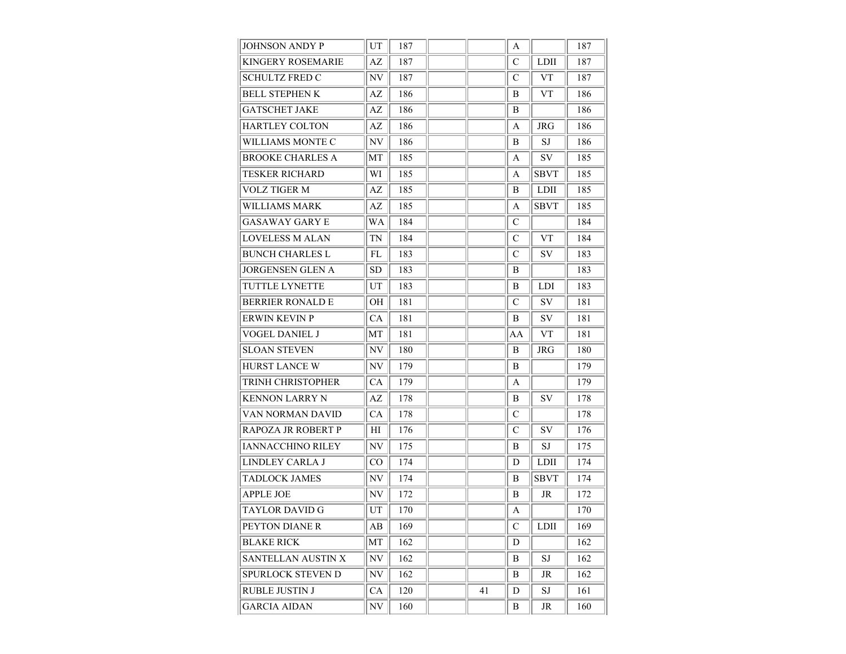| JOHNSON ANDY P           | UT                       | 187 |    | A  |             | 187 |
|--------------------------|--------------------------|-----|----|----|-------------|-----|
| <b>KINGERY ROSEMARIE</b> | AZ                       | 187 |    | C  | <b>LDII</b> | 187 |
| SCHULTZ FRED C           | NV                       | 187 |    | C  | <b>VT</b>   | 187 |
| <b>BELL STEPHEN K</b>    | AZ                       | 186 |    | В  | <b>VT</b>   | 186 |
| GATSCHET JAKE            | AZ                       | 186 |    | B  |             | 186 |
| <b>HARTLEY COLTON</b>    | AZ                       | 186 |    | A  | <b>JRG</b>  | 186 |
| WILLIAMS MONTE C         | NV                       | 186 |    | B  | SJ          | 186 |
| <b>BROOKE CHARLES A</b>  | МT                       | 185 |    | A  | SV          | 185 |
| TESKER RICHARD           | WI                       | 185 |    | A  | SBVT        | 185 |
| <b>VOLZ TIGER M</b>      | AZ                       | 185 |    | B  | <b>LDII</b> | 185 |
| WILLIAMS MARK            | AZ                       | 185 |    | A  | <b>SBVT</b> | 185 |
| <b>GASAWAY GARY E</b>    | WA                       | 184 |    | C  |             | 184 |
| LOVELESS M ALAN          | TN                       | 184 |    | C  | <b>VT</b>   | 184 |
| <b>BUNCH CHARLES L</b>   | FL                       | 183 |    | C  | <b>SV</b>   | 183 |
| <b>JORGENSEN GLEN A</b>  | <b>SD</b>                | 183 |    | B  |             | 183 |
| TUTTLE LYNETTE           | UT                       | 183 |    | B  | <b>LDI</b>  | 183 |
| <b>BERRIER RONALD E</b>  | OН                       | 181 |    | C  | SV          | 181 |
| <b>ERWIN KEVIN P</b>     | CA                       | 181 |    | B  | SV          | 181 |
| VOGEL DANIEL J           | MТ                       | 181 |    | AA | <b>VT</b>   | 181 |
| <b>SLOAN STEVEN</b>      | NV                       | 180 |    | B  | JRG         | 180 |
| <b>HURST LANCE W</b>     | NV                       | 179 |    | B  |             | 179 |
| TRINH CHRISTOPHER        | СA                       | 179 |    | A  |             | 179 |
| KENNON LARRY N           | AZ                       | 178 |    | B  | SV          | 178 |
| VAN NORMAN DAVID         | CA                       | 178 |    | C  |             | 178 |
| RAPOZA JR ROBERT P       | ΗΙ                       | 176 |    | C  | SV          | 176 |
| <b>IANNACCHINO RILEY</b> | NV                       | 175 |    | B  | SJ          | 175 |
| LINDLEY CARLA J          | CO                       | 174 |    | D  | LDII        | 174 |
| <b>TADLOCK JAMES</b>     | NV                       | 174 |    | В  | <b>SBVT</b> | 174 |
| <b>APPLE JOE</b>         | NV                       | 172 |    | B  | JR          | 172 |
| <b>TAYLOR DAVID G</b>    | UT                       | 170 |    | A  |             | 170 |
| PEYTON DIANE R           | AB                       | 169 |    | C  | <b>LDII</b> | 169 |
| <b>BLAKE RICK</b>        | MT                       | 162 |    | D  |             | 162 |
| SANTELLAN AUSTIN X       | NV                       | 162 |    | B  | SJ          | 162 |
| SPURLOCK STEVEN D        | NV                       | 162 |    | B  | JR          | 162 |
| <b>RUBLE JUSTIN J</b>    | CA                       | 120 | 41 | D  | SJ          | 161 |
| <b>GARCIA AIDAN</b>      | $\ensuremath{\text{NV}}$ | 160 |    | B  | JR          | 160 |